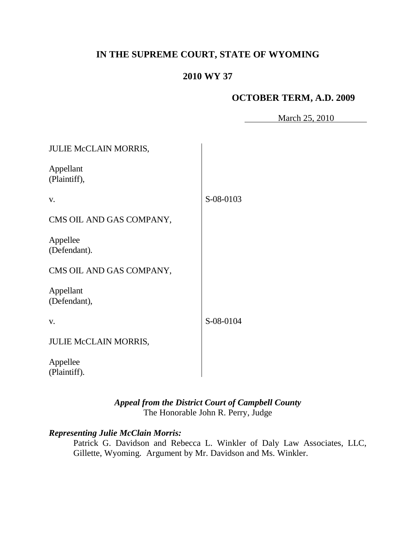# **IN THE SUPREME COURT, STATE OF WYOMING**

# **2010 WY 37**

## **OCTOBER TERM, A.D. 2009**

March 25, 2010

| <b>JULIE McCLAIN MORRIS,</b> |           |
|------------------------------|-----------|
| Appellant<br>(Plaintiff),    |           |
| V.                           | S-08-0103 |
| CMS OIL AND GAS COMPANY,     |           |
| Appellee<br>(Defendant).     |           |
| CMS OIL AND GAS COMPANY,     |           |
| Appellant<br>(Defendant),    |           |
| V.                           | S-08-0104 |
| JULIE McCLAIN MORRIS,        |           |
| Appellee<br>(Plaintiff).     |           |

## *Appeal from the District Court of Campbell County* The Honorable John R. Perry, Judge

## *Representing Julie McClain Morris:*

Patrick G. Davidson and Rebecca L. Winkler of Daly Law Associates, LLC, Gillette, Wyoming. Argument by Mr. Davidson and Ms. Winkler.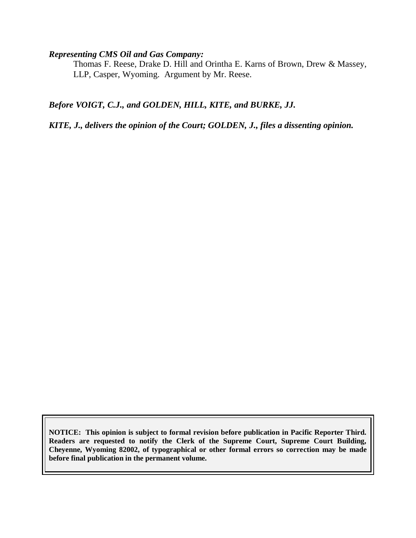#### *Representing CMS Oil and Gas Company:*

Thomas F. Reese, Drake D. Hill and Orintha E. Karns of Brown, Drew & Massey, LLP, Casper, Wyoming. Argument by Mr. Reese.

*Before VOIGT, C.J., and GOLDEN, HILL, KITE, and BURKE, JJ.*

*KITE, J., delivers the opinion of the Court; GOLDEN, J., files a dissenting opinion.*

**NOTICE: This opinion is subject to formal revision before publication in Pacific Reporter Third. Readers are requested to notify the Clerk of the Supreme Court, Supreme Court Building, Cheyenne, Wyoming 82002, of typographical or other formal errors so correction may be made before final publication in the permanent volume.**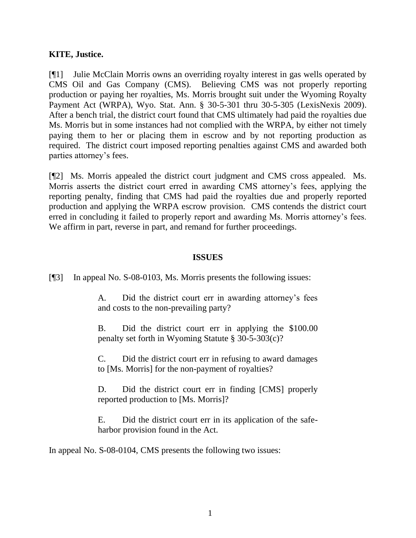### **KITE, Justice.**

[¶1] Julie McClain Morris owns an overriding royalty interest in gas wells operated by CMS Oil and Gas Company (CMS). Believing CMS was not properly reporting production or paying her royalties, Ms. Morris brought suit under the Wyoming Royalty Payment Act (WRPA), Wyo. Stat. Ann. § 30-5-301 thru 30-5-305 (LexisNexis 2009). After a bench trial, the district court found that CMS ultimately had paid the royalties due Ms. Morris but in some instances had not complied with the WRPA, by either not timely paying them to her or placing them in escrow and by not reporting production as required. The district court imposed reporting penalties against CMS and awarded both parties attorney's fees.

[¶2] Ms. Morris appealed the district court judgment and CMS cross appealed. Ms. Morris asserts the district court erred in awarding CMS attorney's fees, applying the reporting penalty, finding that CMS had paid the royalties due and properly reported production and applying the WRPA escrow provision. CMS contends the district court erred in concluding it failed to properly report and awarding Ms. Morris attorney's fees. We affirm in part, reverse in part, and remand for further proceedings.

#### **ISSUES**

[¶3] In appeal No. S-08-0103, Ms. Morris presents the following issues:

A. Did the district court err in awarding attorney's fees and costs to the non-prevailing party?

B. Did the district court err in applying the \$100.00 penalty set forth in Wyoming Statute § 30-5-303(c)?

C. Did the district court err in refusing to award damages to [Ms. Morris] for the non-payment of royalties?

D. Did the district court err in finding [CMS] properly reported production to [Ms. Morris]?

E. Did the district court err in its application of the safeharbor provision found in the Act.

In appeal No. S-08-0104, CMS presents the following two issues: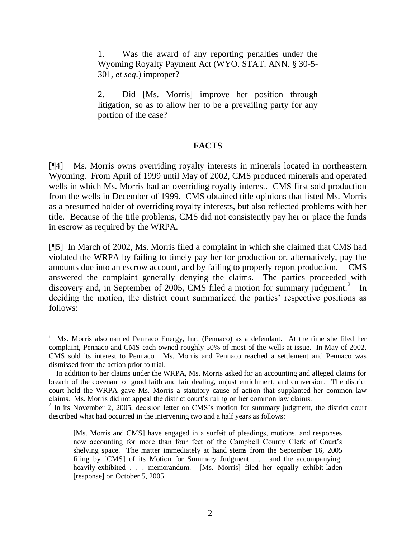1. Was the award of any reporting penalties under the Wyoming Royalty Payment Act (WYO. STAT. ANN. § 30-5- 301, *et seq*.) improper?

2. Did [Ms. Morris] improve her position through litigation, so as to allow her to be a prevailing party for any portion of the case?

#### **FACTS**

[¶4] Ms. Morris owns overriding royalty interests in minerals located in northeastern Wyoming. From April of 1999 until May of 2002, CMS produced minerals and operated wells in which Ms. Morris had an overriding royalty interest. CMS first sold production from the wells in December of 1999. CMS obtained title opinions that listed Ms. Morris as a presumed holder of overriding royalty interests, but also reflected problems with her title. Because of the title problems, CMS did not consistently pay her or place the funds in escrow as required by the WRPA.

[¶5] In March of 2002, Ms. Morris filed a complaint in which she claimed that CMS had violated the WRPA by failing to timely pay her for production or, alternatively, pay the amounts due into an escrow account, and by failing to properly report production.<sup> $1$ </sup> CMS answered the complaint generally denying the claims. The parties proceeded with discovery and, in September of 2005, CMS filed a motion for summary judgment.<sup>2</sup> In deciding the motion, the district court summarized the parties' respective positions as follows:

 $\overline{a}$ 

<sup>&</sup>lt;sup>1</sup> Ms. Morris also named Pennaco Energy, Inc. (Pennaco) as a defendant. At the time she filed her complaint, Pennaco and CMS each owned roughly 50% of most of the wells at issue. In May of 2002, CMS sold its interest to Pennaco. Ms. Morris and Pennaco reached a settlement and Pennaco was dismissed from the action prior to trial.

In addition to her claims under the WRPA, Ms. Morris asked for an accounting and alleged claims for breach of the covenant of good faith and fair dealing, unjust enrichment, and conversion. The district court held the WRPA gave Ms. Morris a statutory cause of action that supplanted her common law claims. Ms. Morris did not appeal the district court's ruling on her common law claims.

<sup>&</sup>lt;sup>2</sup> In its November 2, 2005, decision letter on CMS's motion for summary judgment, the district court described what had occurred in the intervening two and a half years as follows:

<sup>[</sup>Ms. Morris and CMS] have engaged in a surfeit of pleadings, motions, and responses now accounting for more than four feet of the Campbell County Clerk of Court's shelving space. The matter immediately at hand stems from the September 16, 2005 filing by [CMS] of its Motion for Summary Judgment . . . and the accompanying, heavily-exhibited . . . memorandum. [Ms. Morris] filed her equally exhibit-laden [response] on October 5, 2005.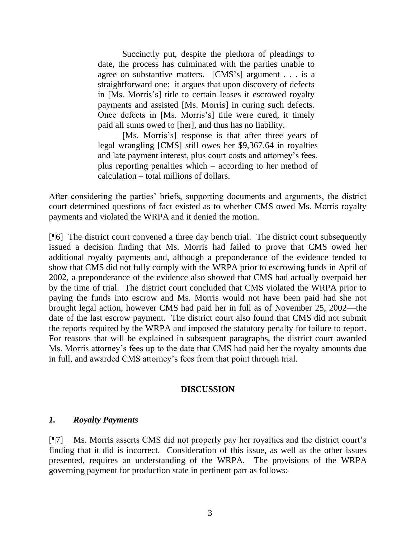Succinctly put, despite the plethora of pleadings to date, the process has culminated with the parties unable to agree on substantive matters. [CMS's] argument . . . is a straightforward one: it argues that upon discovery of defects in [Ms. Morris's] title to certain leases it escrowed royalty payments and assisted [Ms. Morris] in curing such defects. Once defects in [Ms. Morris's] title were cured, it timely paid all sums owed to [her], and thus has no liability.

[Ms. Morris's] response is that after three years of legal wrangling [CMS] still owes her \$9,367.64 in royalties and late payment interest, plus court costs and attorney's fees, plus reporting penalties which – according to her method of calculation – total millions of dollars.

After considering the parties' briefs, supporting documents and arguments, the district court determined questions of fact existed as to whether CMS owed Ms. Morris royalty payments and violated the WRPA and it denied the motion.

[¶6] The district court convened a three day bench trial. The district court subsequently issued a decision finding that Ms. Morris had failed to prove that CMS owed her additional royalty payments and, although a preponderance of the evidence tended to show that CMS did not fully comply with the WRPA prior to escrowing funds in April of 2002, a preponderance of the evidence also showed that CMS had actually overpaid her by the time of trial. The district court concluded that CMS violated the WRPA prior to paying the funds into escrow and Ms. Morris would not have been paid had she not brought legal action, however CMS had paid her in full as of November 25, 2002—the date of the last escrow payment. The district court also found that CMS did not submit the reports required by the WRPA and imposed the statutory penalty for failure to report. For reasons that will be explained in subsequent paragraphs, the district court awarded Ms. Morris attorney's fees up to the date that CMS had paid her the royalty amounts due in full, and awarded CMS attorney's fees from that point through trial.

### **DISCUSSION**

### *1. Royalty Payments*

[¶7] Ms. Morris asserts CMS did not properly pay her royalties and the district court's finding that it did is incorrect. Consideration of this issue, as well as the other issues presented, requires an understanding of the WRPA. The provisions of the WRPA governing payment for production state in pertinent part as follows: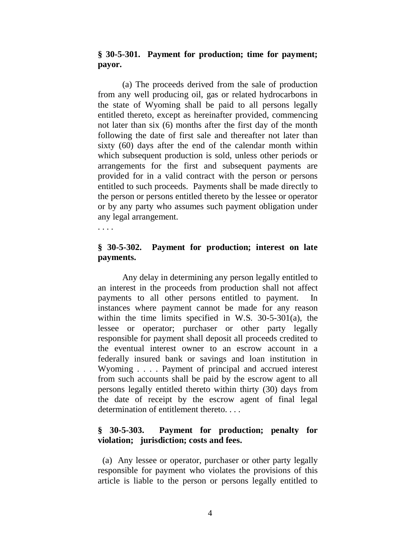### **§ 30-5-301. Payment for production; time for payment; payor.**

(a) The proceeds derived from the sale of production from any well producing oil, gas or related hydrocarbons in the state of Wyoming shall be paid to all persons legally entitled thereto, except as hereinafter provided, commencing not later than six (6) months after the first day of the month following the date of first sale and thereafter not later than sixty (60) days after the end of the calendar month within which subsequent production is sold, unless other periods or arrangements for the first and subsequent payments are provided for in a valid contract with the person or persons entitled to such proceeds. Payments shall be made directly to the person or persons entitled thereto by the lessee or operator or by any party who assumes such payment obligation under any legal arrangement.

. . . .

## **§ 30-5-302. Payment for production; interest on late payments.**

Any delay in determining any person legally entitled to an interest in the proceeds from production shall not affect payments to all other persons entitled to payment. In instances where payment cannot be made for any reason within the time limits specified in W.S. 30-5-301(a), the lessee or operator; purchaser or other party legally responsible for payment shall deposit all proceeds credited to the eventual interest owner to an escrow account in a federally insured bank or savings and loan institution in Wyoming . . . . Payment of principal and accrued interest from such accounts shall be paid by the escrow agent to all persons legally entitled thereto within thirty (30) days from the date of receipt by the escrow agent of final legal determination of entitlement thereto. . . .

## **§ 30-5-303. Payment for production; penalty for violation; jurisdiction; costs and fees.**

 (a) Any lessee or operator, purchaser or other party legally responsible for payment who violates the provisions of this article is liable to the person or persons legally entitled to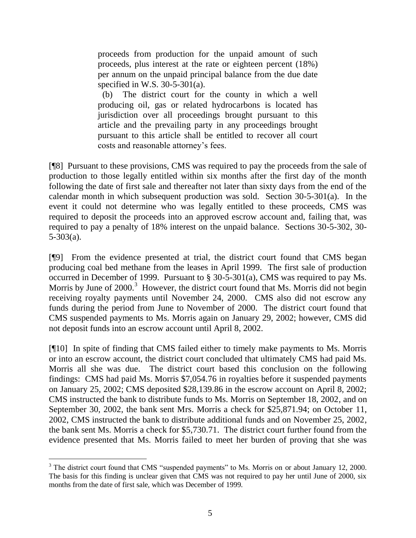proceeds from production for the unpaid amount of such proceeds, plus interest at the rate or eighteen percent (18%) per annum on the unpaid principal balance from the due date specified in W.S. 30-5-301(a).

 (b) The district court for the county in which a well producing oil, gas or related hydrocarbons is located has jurisdiction over all proceedings brought pursuant to this article and the prevailing party in any proceedings brought pursuant to this article shall be entitled to recover all court costs and reasonable attorney's fees.

[¶8] Pursuant to these provisions, CMS was required to pay the proceeds from the sale of production to those legally entitled within six months after the first day of the month following the date of first sale and thereafter not later than sixty days from the end of the calendar month in which subsequent production was sold. Section 30-5-301(a). In the event it could not determine who was legally entitled to these proceeds, CMS was required to deposit the proceeds into an approved escrow account and, failing that, was required to pay a penalty of 18% interest on the unpaid balance. Sections 30-5-302, 30- 5-303(a).

[¶9] From the evidence presented at trial, the district court found that CMS began producing coal bed methane from the leases in April 1999. The first sale of production occurred in December of 1999. Pursuant to § 30-5-301(a), CMS was required to pay Ms. Morris by June of  $2000$ .<sup>3</sup> However, the district court found that Ms. Morris did not begin receiving royalty payments until November 24, 2000. CMS also did not escrow any funds during the period from June to November of 2000. The district court found that CMS suspended payments to Ms. Morris again on January 29, 2002; however, CMS did not deposit funds into an escrow account until April 8, 2002.

[¶10] In spite of finding that CMS failed either to timely make payments to Ms. Morris or into an escrow account, the district court concluded that ultimately CMS had paid Ms. Morris all she was due. The district court based this conclusion on the following findings: CMS had paid Ms. Morris \$7,054.76 in royalties before it suspended payments on January 25, 2002; CMS deposited \$28,139.86 in the escrow account on April 8, 2002; CMS instructed the bank to distribute funds to Ms. Morris on September 18, 2002, and on September 30, 2002, the bank sent Mrs. Morris a check for \$25,871.94; on October 11, 2002, CMS instructed the bank to distribute additional funds and on November 25, 2002, the bank sent Ms. Morris a check for \$5,730.71. The district court further found from the evidence presented that Ms. Morris failed to meet her burden of proving that she was

 $\overline{a}$ 

 $3$  The district court found that CMS "suspended payments" to Ms. Morris on or about January 12, 2000. The basis for this finding is unclear given that CMS was not required to pay her until June of 2000, six months from the date of first sale, which was December of 1999.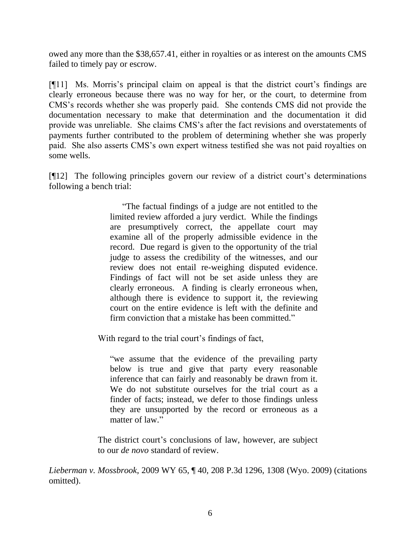owed any more than the \$38,657.41, either in royalties or as interest on the amounts CMS failed to timely pay or escrow.

[¶11] Ms. Morris's principal claim on appeal is that the district court's findings are clearly erroneous because there was no way for her, or the court, to determine from CMS's records whether she was properly paid. She contends CMS did not provide the documentation necessary to make that determination and the documentation it did provide was unreliable. She claims CMS's after the fact revisions and overstatements of payments further contributed to the problem of determining whether she was properly paid. She also asserts CMS's own expert witness testified she was not paid royalties on some wells.

[¶12] The following principles govern our review of a district court's determinations following a bench trial:

> ―The factual findings of a judge are not entitled to the limited review afforded a jury verdict. While the findings are presumptively correct, the appellate court may examine all of the properly admissible evidence in the record. Due regard is given to the opportunity of the trial judge to assess the credibility of the witnesses, and our review does not entail re-weighing disputed evidence. Findings of fact will not be set aside unless they are clearly erroneous. A finding is clearly erroneous when, although there is evidence to support it, the reviewing court on the entire evidence is left with the definite and firm conviction that a mistake has been committed."

With regard to the trial court's findings of fact,

"we assume that the evidence of the prevailing party below is true and give that party every reasonable inference that can fairly and reasonably be drawn from it. We do not substitute ourselves for the trial court as a finder of facts; instead, we defer to those findings unless they are unsupported by the record or erroneous as a matter of law."

The district court's conclusions of law, however, are subject to our *de novo* standard of review.

*Lieberman v. Mossbrook*, 2009 WY 65, ¶ 40, 208 P.3d 1296, 1308 (Wyo. 2009) (citations omitted).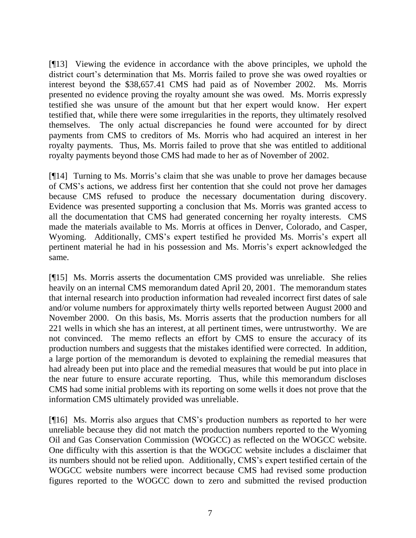[¶13] Viewing the evidence in accordance with the above principles, we uphold the district court's determination that Ms. Morris failed to prove she was owed royalties or interest beyond the \$38,657.41 CMS had paid as of November 2002. Ms. Morris presented no evidence proving the royalty amount she was owed. Ms. Morris expressly testified she was unsure of the amount but that her expert would know. Her expert testified that, while there were some irregularities in the reports, they ultimately resolved themselves. The only actual discrepancies he found were accounted for by direct payments from CMS to creditors of Ms. Morris who had acquired an interest in her royalty payments. Thus, Ms. Morris failed to prove that she was entitled to additional royalty payments beyond those CMS had made to her as of November of 2002.

[¶14] Turning to Ms. Morris's claim that she was unable to prove her damages because of CMS's actions, we address first her contention that she could not prove her damages because CMS refused to produce the necessary documentation during discovery. Evidence was presented supporting a conclusion that Ms. Morris was granted access to all the documentation that CMS had generated concerning her royalty interests. CMS made the materials available to Ms. Morris at offices in Denver, Colorado, and Casper, Wyoming. Additionally, CMS's expert testified he provided Ms. Morris's expert all pertinent material he had in his possession and Ms. Morris's expert acknowledged the same.

[¶15] Ms. Morris asserts the documentation CMS provided was unreliable. She relies heavily on an internal CMS memorandum dated April 20, 2001. The memorandum states that internal research into production information had revealed incorrect first dates of sale and/or volume numbers for approximately thirty wells reported between August 2000 and November 2000. On this basis, Ms. Morris asserts that the production numbers for all 221 wells in which she has an interest, at all pertinent times, were untrustworthy. We are not convinced. The memo reflects an effort by CMS to ensure the accuracy of its production numbers and suggests that the mistakes identified were corrected. In addition, a large portion of the memorandum is devoted to explaining the remedial measures that had already been put into place and the remedial measures that would be put into place in the near future to ensure accurate reporting. Thus, while this memorandum discloses CMS had some initial problems with its reporting on some wells it does not prove that the information CMS ultimately provided was unreliable.

[¶16] Ms. Morris also argues that CMS's production numbers as reported to her were unreliable because they did not match the production numbers reported to the Wyoming Oil and Gas Conservation Commission (WOGCC) as reflected on the WOGCC website. One difficulty with this assertion is that the WOGCC website includes a disclaimer that its numbers should not be relied upon. Additionally, CMS's expert testified certain of the WOGCC website numbers were incorrect because CMS had revised some production figures reported to the WOGCC down to zero and submitted the revised production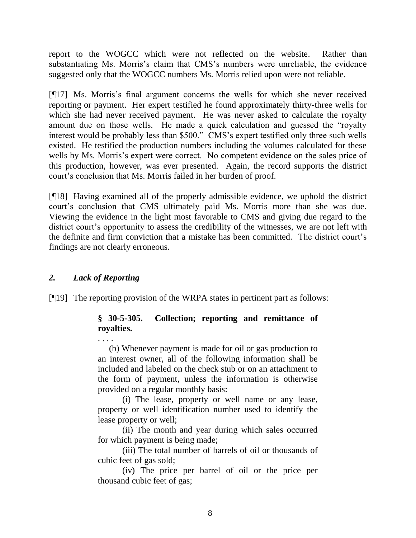report to the WOGCC which were not reflected on the website. Rather than substantiating Ms. Morris's claim that CMS's numbers were unreliable, the evidence suggested only that the WOGCC numbers Ms. Morris relied upon were not reliable.

[¶17] Ms. Morris's final argument concerns the wells for which she never received reporting or payment. Her expert testified he found approximately thirty-three wells for which she had never received payment. He was never asked to calculate the royalty amount due on those wells. He made a quick calculation and guessed the "royalty" interest would be probably less than \$500." CMS's expert testified only three such wells existed. He testified the production numbers including the volumes calculated for these wells by Ms. Morris's expert were correct. No competent evidence on the sales price of this production, however, was ever presented. Again, the record supports the district court's conclusion that Ms. Morris failed in her burden of proof.

[¶18] Having examined all of the properly admissible evidence, we uphold the district court's conclusion that CMS ultimately paid Ms. Morris more than she was due. Viewing the evidence in the light most favorable to CMS and giving due regard to the district court's opportunity to assess the credibility of the witnesses, we are not left with the definite and firm conviction that a mistake has been committed. The district court's findings are not clearly erroneous.

## *2. Lack of Reporting*

. . . .

[¶19] The reporting provision of the WRPA states in pertinent part as follows:

## **§ 30-5-305. Collection; reporting and remittance of royalties.**

 (b) Whenever payment is made for oil or gas production to an interest owner, all of the following information shall be included and labeled on the check stub or on an attachment to the form of payment, unless the information is otherwise provided on a regular monthly basis:

(i) The lease, property or well name or any lease, property or well identification number used to identify the lease property or well;

(ii) The month and year during which sales occurred for which payment is being made;

(iii) The total number of barrels of oil or thousands of cubic feet of gas sold;

(iv) The price per barrel of oil or the price per thousand cubic feet of gas;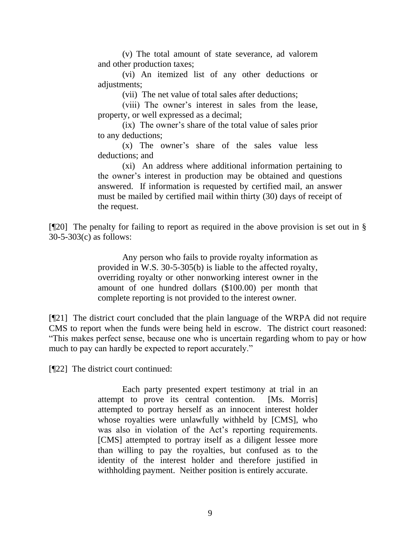(v) The total amount of state severance, ad valorem and other production taxes;

(vi) An itemized list of any other deductions or adjustments;

(vii) The net value of total sales after deductions;

(viii) The owner's interest in sales from the lease, property, or well expressed as a decimal;

(ix) The owner's share of the total value of sales prior to any deductions;

(x) The owner's share of the sales value less deductions; and

(xi) An address where additional information pertaining to the owner's interest in production may be obtained and questions answered. If information is requested by certified mail, an answer must be mailed by certified mail within thirty (30) days of receipt of the request.

[¶20] The penalty for failing to report as required in the above provision is set out in § 30-5-303(c) as follows:

> Any person who fails to provide royalty information as provided in W.S. 30-5-305(b) is liable to the affected royalty, overriding royalty or other nonworking interest owner in the amount of one hundred dollars (\$100.00) per month that complete reporting is not provided to the interest owner.

[¶21] The district court concluded that the plain language of the WRPA did not require CMS to report when the funds were being held in escrow. The district court reasoned: ―This makes perfect sense, because one who is uncertain regarding whom to pay or how much to pay can hardly be expected to report accurately."

[¶22] The district court continued:

Each party presented expert testimony at trial in an attempt to prove its central contention. [Ms. Morris] attempted to portray herself as an innocent interest holder whose royalties were unlawfully withheld by [CMS], who was also in violation of the Act's reporting requirements. [CMS] attempted to portray itself as a diligent lessee more than willing to pay the royalties, but confused as to the identity of the interest holder and therefore justified in withholding payment. Neither position is entirely accurate.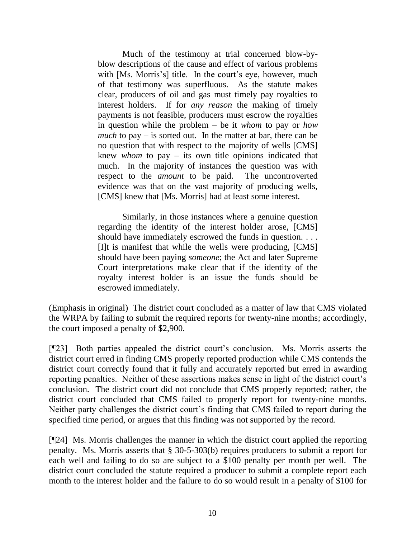Much of the testimony at trial concerned blow-byblow descriptions of the cause and effect of various problems with [Ms. Morris's] title. In the court's eye, however, much of that testimony was superfluous. As the statute makes clear, producers of oil and gas must timely pay royalties to interest holders. If for *any reason* the making of timely payments is not feasible, producers must escrow the royalties in question while the problem – be it *whom* to pay or *how much* to pay – is sorted out. In the matter at bar, there can be no question that with respect to the majority of wells [CMS] knew *whom* to pay – its own title opinions indicated that much. In the majority of instances the question was with respect to the *amount* to be paid. The uncontroverted evidence was that on the vast majority of producing wells, [CMS] knew that [Ms. Morris] had at least some interest.

Similarly, in those instances where a genuine question regarding the identity of the interest holder arose, [CMS] should have immediately escrowed the funds in question. . . . [I]t is manifest that while the wells were producing, [CMS] should have been paying *someone*; the Act and later Supreme Court interpretations make clear that if the identity of the royalty interest holder is an issue the funds should be escrowed immediately.

(Emphasis in original) The district court concluded as a matter of law that CMS violated the WRPA by failing to submit the required reports for twenty-nine months; accordingly, the court imposed a penalty of \$2,900.

[¶23] Both parties appealed the district court's conclusion. Ms. Morris asserts the district court erred in finding CMS properly reported production while CMS contends the district court correctly found that it fully and accurately reported but erred in awarding reporting penalties. Neither of these assertions makes sense in light of the district court's conclusion. The district court did not conclude that CMS properly reported; rather, the district court concluded that CMS failed to properly report for twenty-nine months. Neither party challenges the district court's finding that CMS failed to report during the specified time period, or argues that this finding was not supported by the record.

[¶24] Ms. Morris challenges the manner in which the district court applied the reporting penalty. Ms. Morris asserts that § 30-5-303(b) requires producers to submit a report for each well and failing to do so are subject to a \$100 penalty per month per well. The district court concluded the statute required a producer to submit a complete report each month to the interest holder and the failure to do so would result in a penalty of \$100 for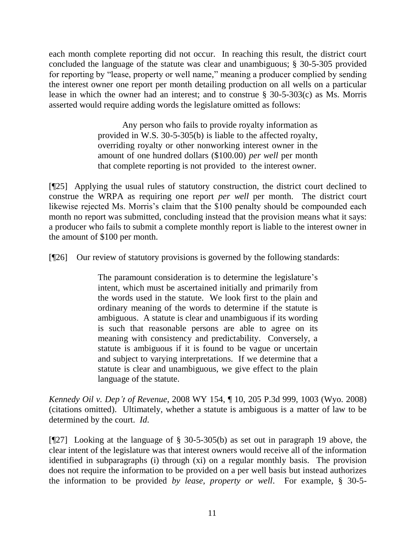each month complete reporting did not occur. In reaching this result, the district court concluded the language of the statute was clear and unambiguous; § 30-5-305 provided for reporting by "lease, property or well name," meaning a producer complied by sending the interest owner one report per month detailing production on all wells on a particular lease in which the owner had an interest; and to construe § 30-5-303(c) as Ms. Morris asserted would require adding words the legislature omitted as follows:

> Any person who fails to provide royalty information as provided in W.S. 30-5-305(b) is liable to the affected royalty, overriding royalty or other nonworking interest owner in the amount of one hundred dollars (\$100.00) *per well* per month that complete reporting is not provided to the interest owner.

[¶25] Applying the usual rules of statutory construction, the district court declined to construe the WRPA as requiring one report *per well* per month. The district court likewise rejected Ms. Morris's claim that the \$100 penalty should be compounded each month no report was submitted, concluding instead that the provision means what it says: a producer who fails to submit a complete monthly report is liable to the interest owner in the amount of \$100 per month.

[¶26] Our review of statutory provisions is governed by the following standards:

The paramount consideration is to determine the legislature's intent, which must be ascertained initially and primarily from the words used in the statute. We look first to the plain and ordinary meaning of the words to determine if the statute is ambiguous. A statute is clear and unambiguous if its wording is such that reasonable persons are able to agree on its meaning with consistency and predictability. Conversely, a statute is ambiguous if it is found to be vague or uncertain and subject to varying interpretations. If we determine that a statute is clear and unambiguous, we give effect to the plain language of the statute.

*Kennedy Oil v. Dep't of Revenue*, 2008 WY 154, ¶ 10, 205 P.3d 999, 1003 (Wyo. 2008) (citations omitted). Ultimately, whether a statute is ambiguous is a matter of law to be determined by the court. *Id*.

[¶27] Looking at the language of § 30-5-305(b) as set out in paragraph 19 above, the clear intent of the legislature was that interest owners would receive all of the information identified in subparagraphs (i) through (xi) on a regular monthly basis. The provision does not require the information to be provided on a per well basis but instead authorizes the information to be provided *by lease, property or well*. For example, § 30-5-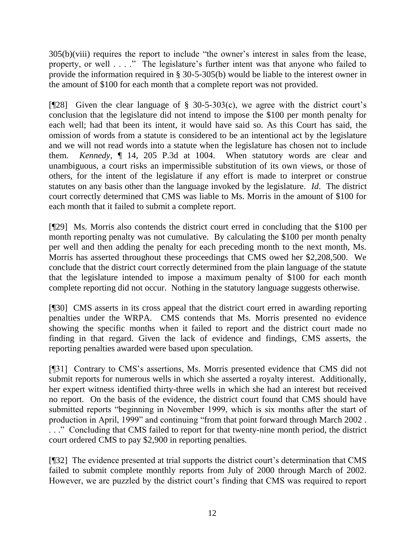$305(b)(viii)$  requires the report to include "the owner's interest in sales from the lease, property, or well . . . ." The legislature's further intent was that anyone who failed to provide the information required in § 30-5-305(b) would be liable to the interest owner in the amount of \$100 for each month that a complete report was not provided.

[¶28] Given the clear language of § 30-5-303(c), we agree with the district court's conclusion that the legislature did not intend to impose the \$100 per month penalty for each well; had that been its intent, it would have said so. As this Court has said, the omission of words from a statute is considered to be an intentional act by the legislature and we will not read words into a statute when the legislature has chosen not to include them. *Kennedy*, ¶ 14, 205 P.3d at 1004. When statutory words are clear and unambiguous, a court risks an impermissible substitution of its own views, or those of others, for the intent of the legislature if any effort is made to interpret or construe statutes on any basis other than the language invoked by the legislature. *Id*. The district court correctly determined that CMS was liable to Ms. Morris in the amount of \$100 for each month that it failed to submit a complete report.

[¶29] Ms. Morris also contends the district court erred in concluding that the \$100 per month reporting penalty was not cumulative. By calculating the \$100 per month penalty per well and then adding the penalty for each preceding month to the next month, Ms. Morris has asserted throughout these proceedings that CMS owed her \$2,208,500. We conclude that the district court correctly determined from the plain language of the statute that the legislature intended to impose a maximum penalty of \$100 for each month complete reporting did not occur. Nothing in the statutory language suggests otherwise.

[¶30] CMS asserts in its cross appeal that the district court erred in awarding reporting penalties under the WRPA. CMS contends that Ms. Morris presented no evidence showing the specific months when it failed to report and the district court made no finding in that regard. Given the lack of evidence and findings, CMS asserts, the reporting penalties awarded were based upon speculation.

[¶31] Contrary to CMS's assertions, Ms. Morris presented evidence that CMS did not submit reports for numerous wells in which she asserted a royalty interest. Additionally, her expert witness identified thirty-three wells in which she had an interest but received no report. On the basis of the evidence, the district court found that CMS should have submitted reports "beginning in November 1999, which is six months after the start of production in April, 1999" and continuing "from that point forward through March 2002. ..." Concluding that CMS failed to report for that twenty-nine month period, the district court ordered CMS to pay \$2,900 in reporting penalties.

[¶32] The evidence presented at trial supports the district court's determination that CMS failed to submit complete monthly reports from July of 2000 through March of 2002. However, we are puzzled by the district court's finding that CMS was required to report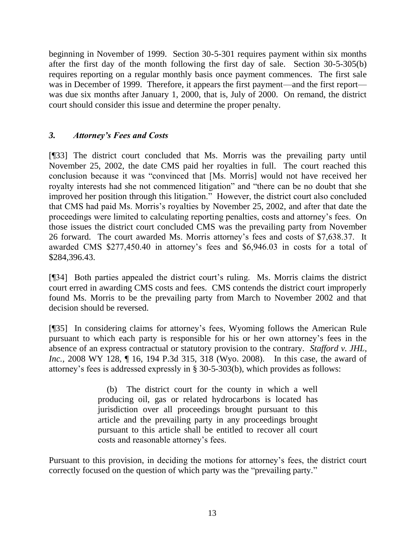beginning in November of 1999. Section 30-5-301 requires payment within six months after the first day of the month following the first day of sale. Section 30-5-305(b) requires reporting on a regular monthly basis once payment commences. The first sale was in December of 1999. Therefore, it appears the first payment—and the first report was due six months after January 1, 2000, that is, July of 2000. On remand, the district court should consider this issue and determine the proper penalty.

# *3. Attorney's Fees and Costs*

[¶33] The district court concluded that Ms. Morris was the prevailing party until November 25, 2002, the date CMS paid her royalties in full. The court reached this conclusion because it was "convinced that [Ms. Morris] would not have received her royalty interests had she not commenced litigation" and "there can be no doubt that she improved her position through this litigation." However, the district court also concluded that CMS had paid Ms. Morris's royalties by November 25, 2002, and after that date the proceedings were limited to calculating reporting penalties, costs and attorney's fees. On those issues the district court concluded CMS was the prevailing party from November 26 forward. The court awarded Ms. Morris attorney's fees and costs of \$7,638.37. It awarded CMS \$277,450.40 in attorney's fees and \$6,946.03 in costs for a total of \$284,396.43.

[¶34] Both parties appealed the district court's ruling. Ms. Morris claims the district court erred in awarding CMS costs and fees. CMS contends the district court improperly found Ms. Morris to be the prevailing party from March to November 2002 and that decision should be reversed.

[¶35] In considering claims for attorney's fees, Wyoming follows the American Rule pursuant to which each party is responsible for his or her own attorney's fees in the absence of an express contractual or statutory provision to the contrary. *Stafford v. JHL, Inc.*, 2008 WY 128, 1 16, 194 P.3d 315, 318 (Wyo. 2008). In this case, the award of attorney's fees is addressed expressly in § 30-5-303(b), which provides as follows:

> (b) The district court for the county in which a well producing oil, gas or related hydrocarbons is located has jurisdiction over all proceedings brought pursuant to this article and the prevailing party in any proceedings brought pursuant to this article shall be entitled to recover all court costs and reasonable attorney's fees.

Pursuant to this provision, in deciding the motions for attorney's fees, the district court correctly focused on the question of which party was the "prevailing party."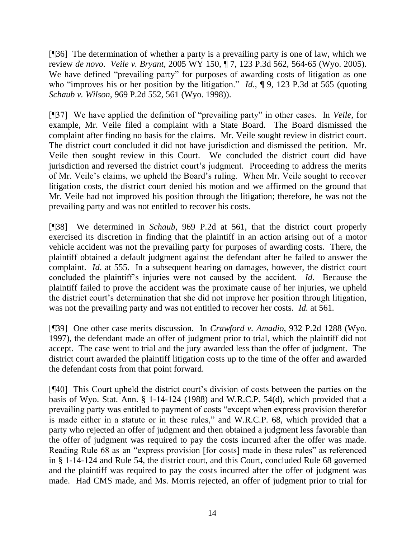[¶36] The determination of whether a party is a prevailing party is one of law, which we review *de novo*. *Veile v. Bryant*, 2005 WY 150, ¶ 7, 123 P.3d 562, 564-65 (Wyo. 2005). We have defined "prevailing party" for purposes of awarding costs of litigation as one who "improves his or her position by the litigation."  $Id.$ ,  $\P$  9, 123 P.3d at 565 (quoting *Schaub v. Wilson*, 969 P.2d 552, 561 (Wyo. 1998)).

[¶37] We have applied the definition of "prevailing party" in other cases. In *Veile*, for example, Mr. Veile filed a complaint with a State Board. The Board dismissed the complaint after finding no basis for the claims. Mr. Veile sought review in district court. The district court concluded it did not have jurisdiction and dismissed the petition. Mr. Veile then sought review in this Court. We concluded the district court did have jurisdiction and reversed the district court's judgment. Proceeding to address the merits of Mr. Veile's claims, we upheld the Board's ruling. When Mr. Veile sought to recover litigation costs, the district court denied his motion and we affirmed on the ground that Mr. Veile had not improved his position through the litigation; therefore, he was not the prevailing party and was not entitled to recover his costs.

[¶38] We determined in *Schaub*, 969 P.2d at 561, that the district court properly exercised its discretion in finding that the plaintiff in an action arising out of a motor vehicle accident was not the prevailing party for purposes of awarding costs. There, the plaintiff obtained a default judgment against the defendant after he failed to answer the complaint. *Id*. at 555. In a subsequent hearing on damages, however, the district court concluded the plaintiff's injuries were not caused by the accident. *Id*. Because the plaintiff failed to prove the accident was the proximate cause of her injuries, we upheld the district court's determination that she did not improve her position through litigation, was not the prevailing party and was not entitled to recover her costs. *Id*. at 561.

[¶39] One other case merits discussion. In *Crawford v. Amadio*, 932 P.2d 1288 (Wyo. 1997), the defendant made an offer of judgment prior to trial, which the plaintiff did not accept. The case went to trial and the jury awarded less than the offer of judgment. The district court awarded the plaintiff litigation costs up to the time of the offer and awarded the defendant costs from that point forward.

[¶40] This Court upheld the district court's division of costs between the parties on the basis of Wyo. Stat. Ann. § 1-14-124 (1988) and W.R.C.P. 54(d), which provided that a prevailing party was entitled to payment of costs "except when express provision therefor is made either in a statute or in these rules," and W.R.C.P. 68, which provided that a party who rejected an offer of judgment and then obtained a judgment less favorable than the offer of judgment was required to pay the costs incurred after the offer was made. Reading Rule 68 as an "express provision [for costs] made in these rules" as referenced in § 1-14-124 and Rule 54, the district court, and this Court, concluded Rule 68 governed and the plaintiff was required to pay the costs incurred after the offer of judgment was made. Had CMS made, and Ms. Morris rejected, an offer of judgment prior to trial for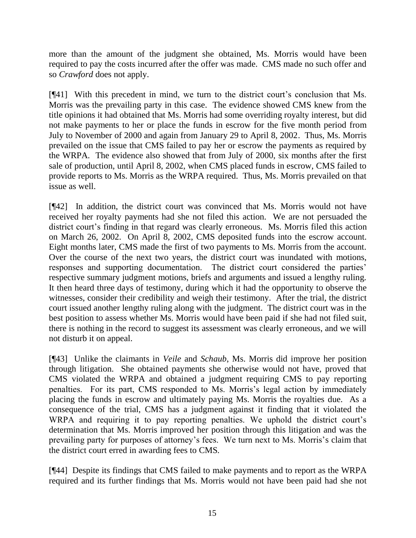more than the amount of the judgment she obtained, Ms. Morris would have been required to pay the costs incurred after the offer was made. CMS made no such offer and so *Crawford* does not apply.

[¶41] With this precedent in mind, we turn to the district court's conclusion that Ms. Morris was the prevailing party in this case. The evidence showed CMS knew from the title opinions it had obtained that Ms. Morris had some overriding royalty interest, but did not make payments to her or place the funds in escrow for the five month period from July to November of 2000 and again from January 29 to April 8, 2002. Thus, Ms. Morris prevailed on the issue that CMS failed to pay her or escrow the payments as required by the WRPA. The evidence also showed that from July of 2000, six months after the first sale of production, until April 8, 2002, when CMS placed funds in escrow, CMS failed to provide reports to Ms. Morris as the WRPA required. Thus, Ms. Morris prevailed on that issue as well.

[¶42] In addition, the district court was convinced that Ms. Morris would not have received her royalty payments had she not filed this action. We are not persuaded the district court's finding in that regard was clearly erroneous. Ms. Morris filed this action on March 26, 2002. On April 8, 2002, CMS deposited funds into the escrow account. Eight months later, CMS made the first of two payments to Ms. Morris from the account. Over the course of the next two years, the district court was inundated with motions, responses and supporting documentation. The district court considered the parties' respective summary judgment motions, briefs and arguments and issued a lengthy ruling. It then heard three days of testimony, during which it had the opportunity to observe the witnesses, consider their credibility and weigh their testimony. After the trial, the district court issued another lengthy ruling along with the judgment. The district court was in the best position to assess whether Ms. Morris would have been paid if she had not filed suit, there is nothing in the record to suggest its assessment was clearly erroneous, and we will not disturb it on appeal.

[¶43] Unlike the claimants in *Veile* and *Schaub*, Ms. Morris did improve her position through litigation. She obtained payments she otherwise would not have, proved that CMS violated the WRPA and obtained a judgment requiring CMS to pay reporting penalties. For its part, CMS responded to Ms. Morris's legal action by immediately placing the funds in escrow and ultimately paying Ms. Morris the royalties due. As a consequence of the trial, CMS has a judgment against it finding that it violated the WRPA and requiring it to pay reporting penalties. We uphold the district court's determination that Ms. Morris improved her position through this litigation and was the prevailing party for purposes of attorney's fees. We turn next to Ms. Morris's claim that the district court erred in awarding fees to CMS.

[¶44] Despite its findings that CMS failed to make payments and to report as the WRPA required and its further findings that Ms. Morris would not have been paid had she not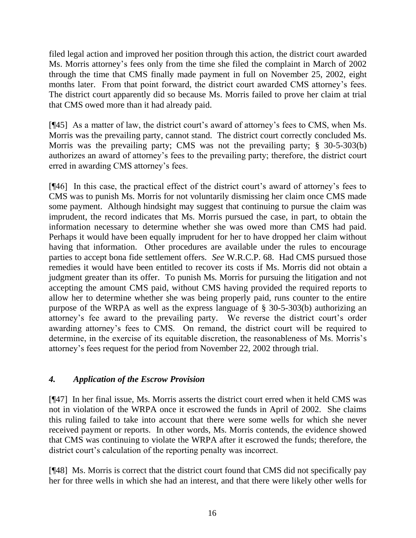filed legal action and improved her position through this action, the district court awarded Ms. Morris attorney's fees only from the time she filed the complaint in March of 2002 through the time that CMS finally made payment in full on November 25, 2002, eight months later. From that point forward, the district court awarded CMS attorney's fees. The district court apparently did so because Ms. Morris failed to prove her claim at trial that CMS owed more than it had already paid.

[¶45] As a matter of law, the district court's award of attorney's fees to CMS, when Ms. Morris was the prevailing party, cannot stand. The district court correctly concluded Ms. Morris was the prevailing party; CMS was not the prevailing party; § 30-5-303(b) authorizes an award of attorney's fees to the prevailing party; therefore, the district court erred in awarding CMS attorney's fees.

[¶46] In this case, the practical effect of the district court's award of attorney's fees to CMS was to punish Ms. Morris for not voluntarily dismissing her claim once CMS made some payment. Although hindsight may suggest that continuing to pursue the claim was imprudent, the record indicates that Ms. Morris pursued the case, in part, to obtain the information necessary to determine whether she was owed more than CMS had paid. Perhaps it would have been equally imprudent for her to have dropped her claim without having that information. Other procedures are available under the rules to encourage parties to accept bona fide settlement offers. *See* W.R.C.P. 68. Had CMS pursued those remedies it would have been entitled to recover its costs if Ms. Morris did not obtain a judgment greater than its offer. To punish Ms. Morris for pursuing the litigation and not accepting the amount CMS paid, without CMS having provided the required reports to allow her to determine whether she was being properly paid, runs counter to the entire purpose of the WRPA as well as the express language of § 30-5-303(b) authorizing an attorney's fee award to the prevailing party. We reverse the district court's order awarding attorney's fees to CMS. On remand, the district court will be required to determine, in the exercise of its equitable discretion, the reasonableness of Ms. Morris's attorney's fees request for the period from November 22, 2002 through trial.

# *4. Application of the Escrow Provision*

[¶47] In her final issue, Ms. Morris asserts the district court erred when it held CMS was not in violation of the WRPA once it escrowed the funds in April of 2002. She claims this ruling failed to take into account that there were some wells for which she never received payment or reports. In other words, Ms. Morris contends, the evidence showed that CMS was continuing to violate the WRPA after it escrowed the funds; therefore, the district court's calculation of the reporting penalty was incorrect.

[¶48] Ms. Morris is correct that the district court found that CMS did not specifically pay her for three wells in which she had an interest, and that there were likely other wells for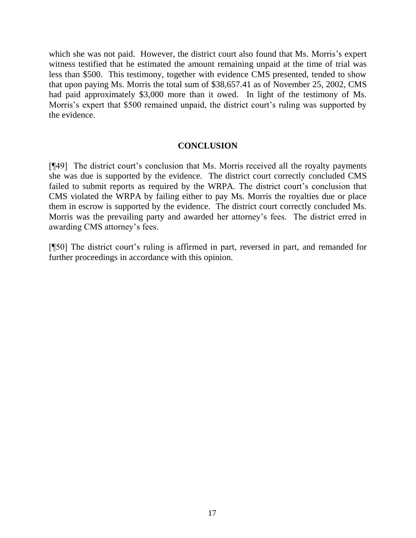which she was not paid. However, the district court also found that Ms. Morris's expert witness testified that he estimated the amount remaining unpaid at the time of trial was less than \$500. This testimony, together with evidence CMS presented, tended to show that upon paying Ms. Morris the total sum of \$38,657.41 as of November 25, 2002, CMS had paid approximately \$3,000 more than it owed. In light of the testimony of Ms. Morris's expert that \$500 remained unpaid, the district court's ruling was supported by the evidence.

### **CONCLUSION**

[¶49] The district court's conclusion that Ms. Morris received all the royalty payments she was due is supported by the evidence. The district court correctly concluded CMS failed to submit reports as required by the WRPA. The district court's conclusion that CMS violated the WRPA by failing either to pay Ms. Morris the royalties due or place them in escrow is supported by the evidence. The district court correctly concluded Ms. Morris was the prevailing party and awarded her attorney's fees. The district erred in awarding CMS attorney's fees.

[¶50] The district court's ruling is affirmed in part, reversed in part, and remanded for further proceedings in accordance with this opinion.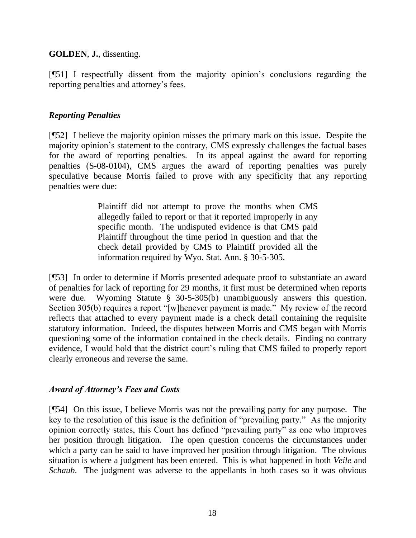### **GOLDEN**, **J.**, dissenting.

[¶51] I respectfully dissent from the majority opinion's conclusions regarding the reporting penalties and attorney's fees.

### *Reporting Penalties*

[¶52] I believe the majority opinion misses the primary mark on this issue. Despite the majority opinion's statement to the contrary, CMS expressly challenges the factual bases for the award of reporting penalties. In its appeal against the award for reporting penalties (S-08-0104), CMS argues the award of reporting penalties was purely speculative because Morris failed to prove with any specificity that any reporting penalties were due:

> Plaintiff did not attempt to prove the months when CMS allegedly failed to report or that it reported improperly in any specific month. The undisputed evidence is that CMS paid Plaintiff throughout the time period in question and that the check detail provided by CMS to Plaintiff provided all the information required by Wyo. Stat. Ann. § 30-5-305.

[¶53] In order to determine if Morris presented adequate proof to substantiate an award of penalties for lack of reporting for 29 months, it first must be determined when reports were due. Wyoming Statute § 30-5-305(b) unambiguously answers this question. Section 305(b) requires a report "[w]henever payment is made." My review of the record reflects that attached to every payment made is a check detail containing the requisite statutory information. Indeed, the disputes between Morris and CMS began with Morris questioning some of the information contained in the check details. Finding no contrary evidence, I would hold that the district court's ruling that CMS failed to properly report clearly erroneous and reverse the same.

## *Award of Attorney's Fees and Costs*

[¶54] On this issue, I believe Morris was not the prevailing party for any purpose. The key to the resolution of this issue is the definition of "prevailing party." As the majority opinion correctly states, this Court has defined "prevailing party" as one who improves her position through litigation. The open question concerns the circumstances under which a party can be said to have improved her position through litigation. The obvious situation is where a judgment has been entered. This is what happened in both *Veile* and *Schaub*. The judgment was adverse to the appellants in both cases so it was obvious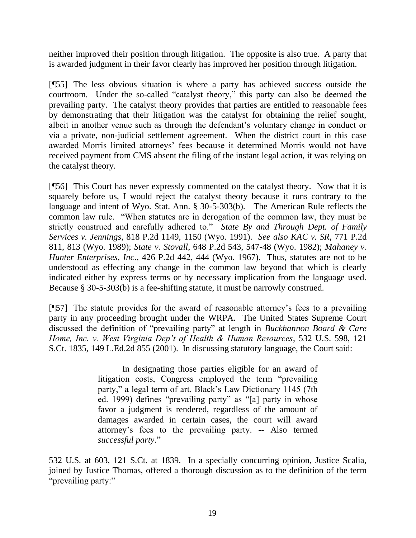neither improved their position through litigation. The opposite is also true. A party that is awarded judgment in their favor clearly has improved her position through litigation.

[¶55] The less obvious situation is where a party has achieved success outside the courtroom. Under the so-called "catalyst theory," this party can also be deemed the prevailing party. The catalyst theory provides that parties are entitled to reasonable fees by demonstrating that their litigation was the catalyst for obtaining the relief sought, albeit in another venue such as through the defendant's voluntary change in conduct or via a private, non-judicial settlement agreement. When the district court in this case awarded Morris limited attorneys' fees because it determined Morris would not have received payment from CMS absent the filing of the instant legal action, it was relying on the catalyst theory.

[¶56] This Court has never expressly commented on the catalyst theory. Now that it is squarely before us, I would reject the catalyst theory because it runs contrary to the language and intent of Wyo. Stat. Ann. § 30-5-303(b). The American Rule reflects the common law rule. "When statutes are in derogation of the common law, they must be strictly construed and carefully adhered to." *State By and Through Dept. of Family Services v. Jennings*, 818 P.2d 1149, 1150 (Wyo. 1991). *See also KAC v. SR*, 771 P.2d 811, 813 (Wyo. 1989); *State v. Stovall*, 648 P.2d 543, 547-48 (Wyo. 1982); *Mahaney v. Hunter Enterprises, Inc*., 426 P.2d 442, 444 (Wyo. 1967). Thus, statutes are not to be understood as effecting any change in the common law beyond that which is clearly indicated either by express terms or by necessary implication from the language used. Because § 30-5-303(b) is a fee-shifting statute, it must be narrowly construed.

[¶57] The statute provides for the award of reasonable attorney's fees to a prevailing party in any proceeding brought under the WRPA. The United States Supreme Court discussed the definition of "prevailing party" at length in *Buckhannon Board & Care Home, Inc. v. West Virginia Dep't of Health & Human Resources*, 532 U.S. 598, 121 S.Ct. 1835, 149 L.Ed.2d 855 (2001). In discussing statutory language, the Court said:

> In designating those parties eligible for an award of litigation costs, Congress employed the term "prevailing" party," a legal term of art. Black's Law Dictionary 1145 (7th ed. 1999) defines "prevailing party" as "[a] party in whose favor a judgment is rendered, regardless of the amount of damages awarded in certain cases, the court will award attorney's fees to the prevailing party. -- Also termed successful party."

532 U.S. at 603, 121 S.Ct. at 1839. In a specially concurring opinion, Justice Scalia, joined by Justice Thomas, offered a thorough discussion as to the definition of the term "prevailing party:"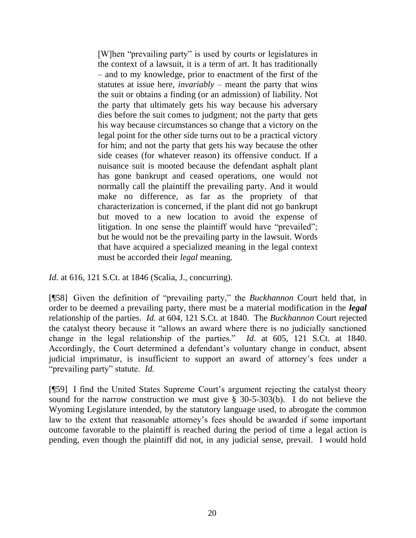[W]hen "prevailing party" is used by courts or legislatures in the context of a lawsuit, it is a term of art. It has traditionally – and to my knowledge, prior to enactment of the first of the statutes at issue here, *invariably* – meant the party that wins the suit or obtains a finding (or an admission) of liability. Not the party that ultimately gets his way because his adversary dies before the suit comes to judgment; not the party that gets his way because circumstances so change that a victory on the legal point for the other side turns out to be a practical victory for him; and not the party that gets his way because the other side ceases (for whatever reason) its offensive conduct. If a nuisance suit is mooted because the defendant asphalt plant has gone bankrupt and ceased operations, one would not normally call the plaintiff the prevailing party. And it would make no difference, as far as the propriety of that characterization is concerned, if the plant did not go bankrupt but moved to a new location to avoid the expense of litigation. In one sense the plaintiff would have "prevailed"; but he would not be the prevailing party in the lawsuit. Words that have acquired a specialized meaning in the legal context must be accorded their *legal* meaning.

*Id*. at 616, 121 S.Ct. at 1846 (Scalia, J., concurring).

[¶58] Given the definition of "prevailing party," the *Buckhannon* Court held that, in order to be deemed a prevailing party, there must be a material modification in the *legal* relationship of the parties. *Id.* at 604, 121 S.Ct. at 1840. The *Buckhannon* Court rejected the catalyst theory because it "allows an award where there is no judicially sanctioned change in the legal relationship of the parties." *Id.* at 605, 121 S.Ct. at 1840. Accordingly, the Court determined a defendant's voluntary change in conduct, absent judicial imprimatur, is insufficient to support an award of attorney's fees under a "prevailing party" statute. *Id.* 

[¶59] I find the United States Supreme Court's argument rejecting the catalyst theory sound for the narrow construction we must give § 30-5-303(b). I do not believe the Wyoming Legislature intended, by the statutory language used, to abrogate the common law to the extent that reasonable attorney's fees should be awarded if some important outcome favorable to the plaintiff is reached during the period of time a legal action is pending, even though the plaintiff did not, in any judicial sense, prevail. I would hold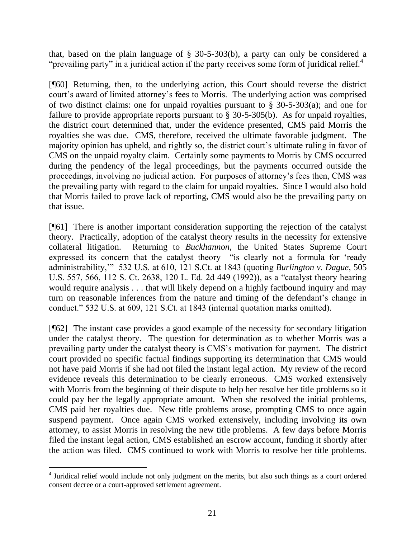that, based on the plain language of § 30-5-303(b), a party can only be considered a "prevailing party" in a juridical action if the party receives some form of juridical relief. $4$ 

[¶60] Returning, then, to the underlying action, this Court should reverse the district court's award of limited attorney's fees to Morris. The underlying action was comprised of two distinct claims: one for unpaid royalties pursuant to § 30-5-303(a); and one for failure to provide appropriate reports pursuant to  $\S$  30-5-305(b). As for unpaid royalties, the district court determined that, under the evidence presented, CMS paid Morris the royalties she was due. CMS, therefore, received the ultimate favorable judgment. The majority opinion has upheld, and rightly so, the district court's ultimate ruling in favor of CMS on the unpaid royalty claim. Certainly some payments to Morris by CMS occurred during the pendency of the legal proceedings, but the payments occurred outside the proceedings, involving no judicial action. For purposes of attorney's fees then, CMS was the prevailing party with regard to the claim for unpaid royalties. Since I would also hold that Morris failed to prove lack of reporting, CMS would also be the prevailing party on that issue.

[¶61] There is another important consideration supporting the rejection of the catalyst theory. Practically, adoption of the catalyst theory results in the necessity for extensive collateral litigation. Returning to *Buckhannon*, the United States Supreme Court expressed its concern that the catalyst theory "is clearly not a formula for 'ready administrability," 532 U.S. at 610, 121 S.Ct. at 1843 (quoting *Burlington v. Dague*, 505 U.S. 557, 566, 112 S. Ct. 2638, 120 L. Ed. 2d 449 (1992)), as a "catalyst theory hearing would require analysis . . . that will likely depend on a highly factbound inquiry and may turn on reasonable inferences from the nature and timing of the defendant's change in conduct.‖ 532 U.S. at 609, 121 S.Ct. at 1843 (internal quotation marks omitted).

[¶62] The instant case provides a good example of the necessity for secondary litigation under the catalyst theory. The question for determination as to whether Morris was a prevailing party under the catalyst theory is CMS's motivation for payment. The district court provided no specific factual findings supporting its determination that CMS would not have paid Morris if she had not filed the instant legal action. My review of the record evidence reveals this determination to be clearly erroneous. CMS worked extensively with Morris from the beginning of their dispute to help her resolve her title problems so it could pay her the legally appropriate amount. When she resolved the initial problems, CMS paid her royalties due. New title problems arose, prompting CMS to once again suspend payment. Once again CMS worked extensively, including involving its own attorney, to assist Morris in resolving the new title problems. A few days before Morris filed the instant legal action, CMS established an escrow account, funding it shortly after the action was filed. CMS continued to work with Morris to resolve her title problems.

 $\overline{a}$ 

<sup>&</sup>lt;sup>4</sup> Juridical relief would include not only judgment on the merits, but also such things as a court ordered consent decree or a court-approved settlement agreement.